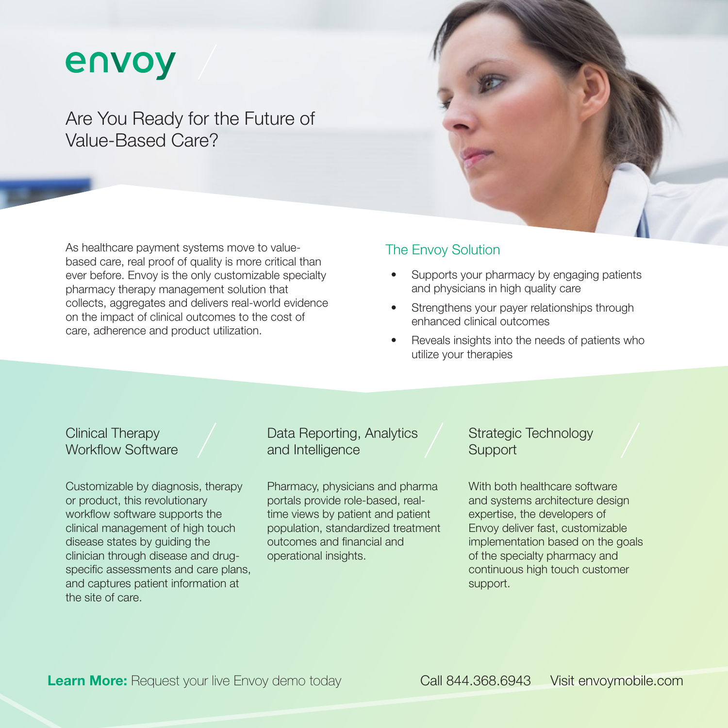# envoy

Are You Ready for the Future of Value-Based Care?

As healthcare payment systems move to valuebased care, real proof of quality is more critical than ever before. Envoy is the only customizable specialty pharmacy therapy management solution that collects, aggregates and delivers real-world evidence on the impact of clinical outcomes to the cost of care, adherence and product utilization.

#### The Envoy Solution

- Supports your pharmacy by engaging patients and physicians in high quality care
- Strengthens your payer relationships through enhanced clinical outcomes
- Reveals insights into the needs of patients who utilize your therapies

## Clinical Therapy Workflow Software

Customizable by diagnosis, therapy or product, this revolutionary workflow software supports the clinical management of high touch disease states by guiding the clinician through disease and drugspecific assessments and care plans, and captures patient information at the site of care.

## Data Reporting, Analytics and Intelligence

Pharmacy, physicians and pharma portals provide role-based, realtime views by patient and patient population, standardized treatment outcomes and financial and operational insights.

## Strategic Technology **Support**

With both healthcare software and systems architecture design expertise, the developers of Envoy deliver fast, customizable implementation based on the goals of the specialty pharmacy and continuous high touch customer support.